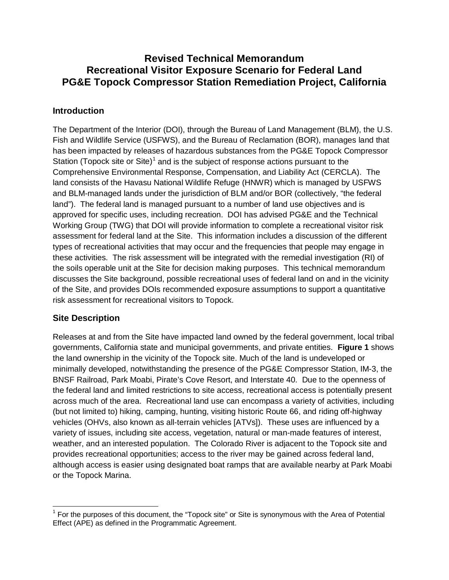## **Revised Technical Memorandum Recreational Visitor Exposure Scenario for Federal Land PG&E Topock Compressor Station Remediation Project, California**

## **Introduction**

The Department of the Interior (DOI), through the Bureau of Land Management (BLM), the U.S. Fish and Wildlife Service (USFWS), and the Bureau of Reclamation (BOR), manages land that has been impacted by releases of hazardous substances from the PG&E Topock Compressor Station (Topock site or Site)<sup>[1](#page-0-0)</sup> and is the subject of response actions pursuant to the Comprehensive Environmental Response, Compensation, and Liability Act (CERCLA). The land consists of the Havasu National Wildlife Refuge (HNWR) which is managed by USFWS and BLM-managed lands under the jurisdiction of BLM and/or BOR (collectively, "the federal land"). The federal land is managed pursuant to a number of land use objectives and is approved for specific uses, including recreation. DOI has advised PG&E and the Technical Working Group (TWG) that DOI will provide information to complete a recreational visitor risk assessment for federal land at the Site. This information includes a discussion of the different types of recreational activities that may occur and the frequencies that people may engage in these activities. The risk assessment will be integrated with the remedial investigation (RI) of the soils operable unit at the Site for decision making purposes. This technical memorandum discusses the Site background, possible recreational uses of federal land on and in the vicinity of the Site, and provides DOIs recommended exposure assumptions to support a quantitative risk assessment for recreational visitors to Topock.

## **Site Description**

Releases at and from the Site have impacted land owned by the federal government, local tribal governments, California state and municipal governments, and private entities. **Figure 1** shows the land ownership in the vicinity of the Topock site. Much of the land is undeveloped or minimally developed, notwithstanding the presence of the PG&E Compressor Station, IM-3, the BNSF Railroad, Park Moabi, Pirate's Cove Resort, and Interstate 40. Due to the openness of the federal land and limited restrictions to site access, recreational access is potentially present across much of the area. Recreational land use can encompass a variety of activities, including (but not limited to) hiking, camping, hunting, visiting historic Route 66, and riding off-highway vehicles (OHVs, also known as all-terrain vehicles [ATVs]). These uses are influenced by a variety of issues, including site access, vegetation, natural or man-made features of interest, weather, and an interested population. The Colorado River is adjacent to the Topock site and provides recreational opportunities; access to the river may be gained across federal land, although access is easier using designated boat ramps that are available nearby at Park Moabi or the Topock Marina.

<span id="page-0-0"></span> $<sup>1</sup>$  For the purposes of this document, the "Topock site" or Site is synonymous with the Area of Potential</sup> Effect (APE) as defined in the Programmatic Agreement.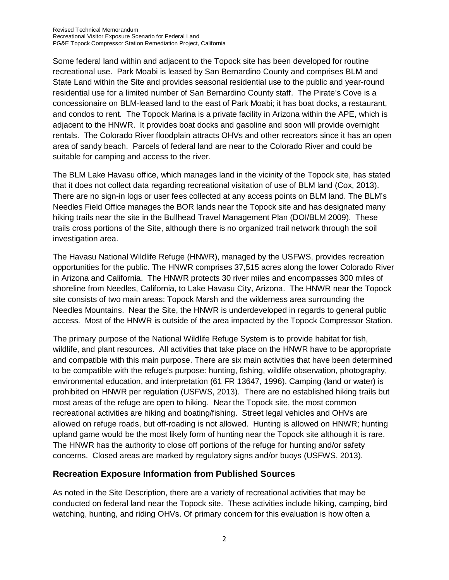Some federal land within and adjacent to the Topock site has been developed for routine recreational use. Park Moabi is leased by San Bernardino County and comprises BLM and State Land within the Site and provides seasonal residential use to the public and year-round residential use for a limited number of San Bernardino County staff. The Pirate's Cove is a concessionaire on BLM-leased land to the east of Park Moabi; it has boat docks, a restaurant, and condos to rent. The Topock Marina is a private facility in Arizona within the APE, which is adjacent to the HNWR. It provides boat docks and gasoline and soon will provide overnight rentals. The Colorado River floodplain attracts OHVs and other recreators since it has an open area of sandy beach. Parcels of federal land are near to the Colorado River and could be suitable for camping and access to the river.

The BLM Lake Havasu office, which manages land in the vicinity of the Topock site, has stated that it does not collect data regarding recreational visitation of use of BLM land (Cox, 2013). There are no sign-in logs or user fees collected at any access points on BLM land. The BLM's Needles Field Office manages the BOR lands near the Topock site and has designated many hiking trails near the site in the Bullhead Travel Management Plan (DOI/BLM 2009). These trails cross portions of the Site, although there is no organized trail network through the soil investigation area.

The Havasu National Wildlife Refuge (HNWR), managed by the USFWS, provides recreation opportunities for the public. The HNWR comprises 37,515 acres along the lower Colorado River in Arizona and California. The HNWR protects 30 river miles and encompasses 300 miles of shoreline from Needles, California, to Lake Havasu City, Arizona. The HNWR near the Topock site consists of two main areas: Topock Marsh and the wilderness area surrounding the Needles Mountains. Near the Site, the HNWR is underdeveloped in regards to general public access. Most of the HNWR is outside of the area impacted by the Topock Compressor Station.

The primary purpose of the National Wildlife Refuge System is to provide habitat for fish, wildlife, and plant resources. All activities that take place on the HNWR have to be appropriate and compatible with this main purpose. There are six main activities that have been determined to be compatible with the refuge's purpose: hunting, fishing, wildlife observation, photography, environmental education, and interpretation (61 FR 13647, 1996). Camping (land or water) is prohibited on HNWR per regulation (USFWS, 2013). There are no established hiking trails but most areas of the refuge are open to hiking. Near the Topock site, the most common recreational activities are hiking and boating/fishing. Street legal vehicles and OHVs are allowed on refuge roads, but off-roading is not allowed. Hunting is allowed on HNWR; hunting upland game would be the most likely form of hunting near the Topock site although it is rare. The HNWR has the authority to close off portions of the refuge for hunting and/or safety concerns. Closed areas are marked by regulatory signs and/or buoys (USFWS, 2013).

#### **Recreation Exposure Information from Published Sources**

As noted in the Site Description, there are a variety of recreational activities that may be conducted on federal land near the Topock site. These activities include hiking, camping, bird watching, hunting, and riding OHVs. Of primary concern for this evaluation is how often a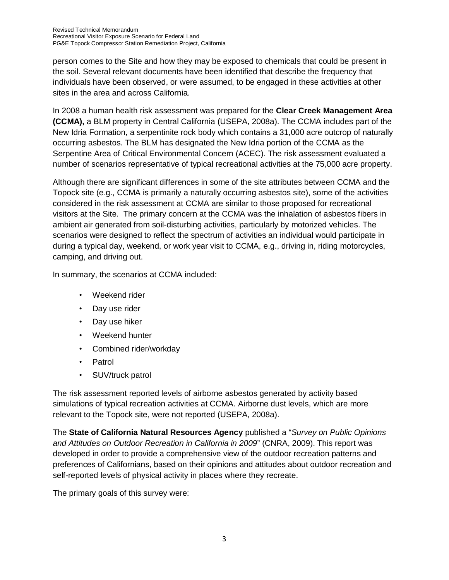person comes to the Site and how they may be exposed to chemicals that could be present in the soil. Several relevant documents have been identified that describe the frequency that individuals have been observed, or were assumed, to be engaged in these activities at other sites in the area and across California.

In 2008 a human health risk assessment was prepared for the **Clear Creek Management Area (CCMA),** a BLM property in Central California (USEPA, 2008a). The CCMA includes part of the New Idria Formation, a serpentinite rock body which contains a 31,000 acre outcrop of naturally occurring asbestos. The BLM has designated the New Idria portion of the CCMA as the Serpentine Area of Critical Environmental Concern (ACEC). The risk assessment evaluated a number of scenarios representative of typical recreational activities at the 75,000 acre property.

Although there are significant differences in some of the site attributes between CCMA and the Topock site (e.g., CCMA is primarily a naturally occurring asbestos site), some of the activities considered in the risk assessment at CCMA are similar to those proposed for recreational visitors at the Site. The primary concern at the CCMA was the inhalation of asbestos fibers in ambient air generated from soil-disturbing activities, particularly by motorized vehicles. The scenarios were designed to reflect the spectrum of activities an individual would participate in during a typical day, weekend, or work year visit to CCMA, e.g., driving in, riding motorcycles, camping, and driving out.

In summary, the scenarios at CCMA included:

- Weekend rider
- Day use rider
- Day use hiker
- Weekend hunter
- Combined rider/workday
- Patrol
- SUV/truck patrol

The risk assessment reported levels of airborne asbestos generated by activity based simulations of typical recreation activities at CCMA. Airborne dust levels, which are more relevant to the Topock site, were not reported (USEPA, 2008a).

The **State of California Natural Resources Agency** published a "*Survey on Public Opinions and Attitudes on Outdoor Recreation in California in 2009*" (CNRA, 2009). This report was developed in order to provide a comprehensive view of the outdoor recreation patterns and preferences of Californians, based on their opinions and attitudes about outdoor recreation and self-reported levels of physical activity in places where they recreate.

The primary goals of this survey were: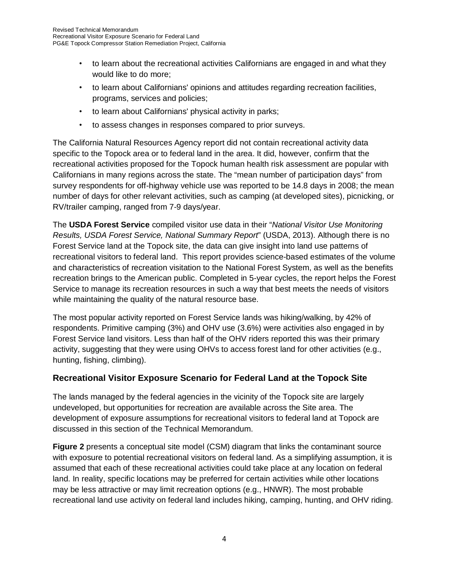- to learn about the recreational activities Californians are engaged in and what they would like to do more;
- to learn about Californians' opinions and attitudes regarding recreation facilities, programs, services and policies;
- to learn about Californians' physical activity in parks;
- to assess changes in responses compared to prior surveys.

The California Natural Resources Agency report did not contain recreational activity data specific to the Topock area or to federal land in the area. It did, however, confirm that the recreational activities proposed for the Topock human health risk assessment are popular with Californians in many regions across the state. The "mean number of participation days" from survey respondents for off-highway vehicle use was reported to be 14.8 days in 2008; the mean number of days for other relevant activities, such as camping (at developed sites), picnicking, or RV/trailer camping, ranged from 7-9 days/year.

The **USDA Forest Service** compiled visitor use data in their "*National Visitor Use Monitoring Results, USDA Forest Service, National Summary Report*" (USDA, 2013). Although there is no Forest Service land at the Topock site, the data can give insight into land use patterns of recreational visitors to federal land. This report provides science-based estimates of the volume and characteristics of recreation visitation to the National Forest System, as well as the benefits recreation brings to the American public. Completed in 5-year cycles, the report helps the Forest Service to manage its recreation resources in such a way that best meets the needs of visitors while maintaining the quality of the natural resource base.

The most popular activity reported on Forest Service lands was hiking/walking, by 42% of respondents. Primitive camping (3%) and OHV use (3.6%) were activities also engaged in by Forest Service land visitors. Less than half of the OHV riders reported this was their primary activity, suggesting that they were using OHVs to access forest land for other activities (e.g., hunting, fishing, climbing).

## **Recreational Visitor Exposure Scenario for Federal Land at the Topock Site**

The lands managed by the federal agencies in the vicinity of the Topock site are largely undeveloped, but opportunities for recreation are available across the Site area. The development of exposure assumptions for recreational visitors to federal land at Topock are discussed in this section of the Technical Memorandum.

**Figure 2** presents a conceptual site model (CSM) diagram that links the contaminant source with exposure to potential recreational visitors on federal land. As a simplifying assumption, it is assumed that each of these recreational activities could take place at any location on federal land. In reality, specific locations may be preferred for certain activities while other locations may be less attractive or may limit recreation options (e.g., HNWR). The most probable recreational land use activity on federal land includes hiking, camping, hunting, and OHV riding.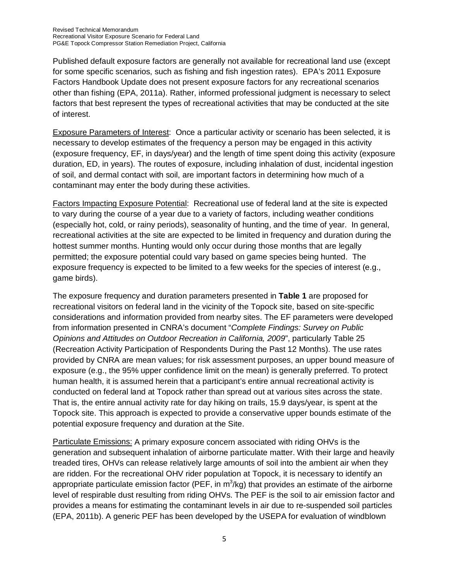Published default exposure factors are generally not available for recreational land use (except for some specific scenarios, such as fishing and fish ingestion rates). EPA's 2011 Exposure Factors Handbook Update does not present exposure factors for any recreational scenarios other than fishing (EPA, 2011a). Rather, informed professional judgment is necessary to select factors that best represent the types of recreational activities that may be conducted at the site of interest.

Exposure Parameters of Interest: Once a particular activity or scenario has been selected, it is necessary to develop estimates of the frequency a person may be engaged in this activity (exposure frequency, EF, in days/year) and the length of time spent doing this activity (exposure duration, ED, in years). The routes of exposure, including inhalation of dust, incidental ingestion of soil, and dermal contact with soil, are important factors in determining how much of a contaminant may enter the body during these activities.

Factors Impacting Exposure Potential: Recreational use of federal land at the site is expected to vary during the course of a year due to a variety of factors, including weather conditions (especially hot, cold, or rainy periods), seasonality of hunting, and the time of year. In general, recreational activities at the site are expected to be limited in frequency and duration during the hottest summer months. Hunting would only occur during those months that are legally permitted; the exposure potential could vary based on game species being hunted. The exposure frequency is expected to be limited to a few weeks for the species of interest (e.g., game birds).

The exposure frequency and duration parameters presented in **Table 1** are proposed for recreational visitors on federal land in the vicinity of the Topock site, based on site-specific considerations and information provided from nearby sites. The EF parameters were developed from information presented in CNRA's document "*Complete Findings: Survey on Public Opinions and Attitudes on Outdoor Recreation in California, 2009*", particularly Table 25 (Recreation Activity Participation of Respondents During the Past 12 Months). The use rates provided by CNRA are mean values; for risk assessment purposes, an upper bound measure of exposure (e.g., the 95% upper confidence limit on the mean) is generally preferred. To protect human health, it is assumed herein that a participant's entire annual recreational activity is conducted on federal land at Topock rather than spread out at various sites across the state. That is, the entire annual activity rate for day hiking on trails, 15.9 days/year, is spent at the Topock site. This approach is expected to provide a conservative upper bounds estimate of the potential exposure frequency and duration at the Site.

Particulate Emissions: A primary exposure concern associated with riding OHVs is the generation and subsequent inhalation of airborne particulate matter. With their large and heavily treaded tires, OHVs can release relatively large amounts of soil into the ambient air when they are ridden. For the recreational OHV rider population at Topock, it is necessary to identify an appropriate particulate emission factor (PEF, in  $m^3$ /kg) that provides an estimate of the airborne level of respirable dust resulting from riding OHVs. The PEF is the soil to air emission factor and provides a means for estimating the contaminant levels in air due to re-suspended soil particles (EPA, 2011b). A generic PEF has been developed by the USEPA for evaluation of windblown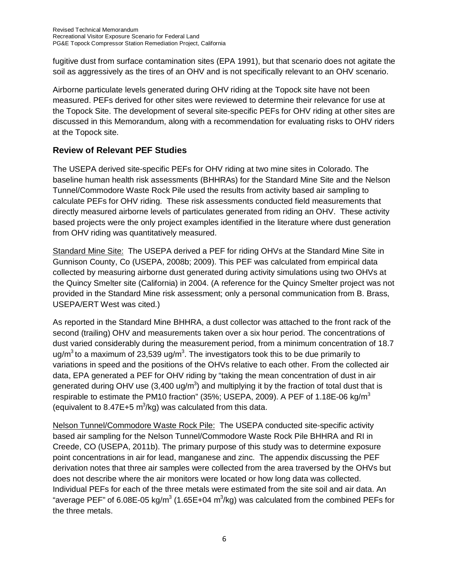fugitive dust from surface contamination sites (EPA 1991), but that scenario does not agitate the soil as aggressively as the tires of an OHV and is not specifically relevant to an OHV scenario.

Airborne particulate levels generated during OHV riding at the Topock site have not been measured. PEFs derived for other sites were reviewed to determine their relevance for use at the Topock Site. The development of several site-specific PEFs for OHV riding at other sites are discussed in this Memorandum, along with a recommendation for evaluating risks to OHV riders at the Topock site.

## **Review of Relevant PEF Studies**

The USEPA derived site-specific PEFs for OHV riding at two mine sites in Colorado. The baseline human health risk assessments (BHHRAs) for the Standard Mine Site and the Nelson Tunnel/Commodore Waste Rock Pile used the results from activity based air sampling to calculate PEFs for OHV riding. These risk assessments conducted field measurements that directly measured airborne levels of particulates generated from riding an OHV. These activity based projects were the only project examples identified in the literature where dust generation from OHV riding was quantitatively measured.

Standard Mine Site: The USEPA derived a PEF for riding OHVs at the Standard Mine Site in Gunnison County, Co (USEPA, 2008b; 2009). This PEF was calculated from empirical data collected by measuring airborne dust generated during activity simulations using two OHVs at the Quincy Smelter site (California) in 2004. (A reference for the Quincy Smelter project was not provided in the Standard Mine risk assessment; only a personal communication from B. Brass, USEPA/ERT West was cited.)

As reported in the Standard Mine BHHRA, a dust collector was attached to the front rack of the second (trailing) OHV and measurements taken over a six hour period. The concentrations of dust varied considerably during the measurement period, from a minimum concentration of 18.7 ug/m $3$  to a maximum of 23,539 ug/m $3$ . The investigators took this to be due primarily to variations in speed and the positions of the OHVs relative to each other. From the collected air data, EPA generated a PEF for OHV riding by "taking the mean concentration of dust in air generated during OHV use (3,400 ug/m<sup>3</sup>) and multiplying it by the fraction of total dust that is respirable to estimate the PM10 fraction" (35%; USEPA, 2009). A PEF of 1.18E-06 kg/m<sup>3</sup> (equivalent to 8.47E+5  $m^3$ /kg) was calculated from this data.

Nelson Tunnel/Commodore Waste Rock Pile: The USEPA conducted site-specific activity based air sampling for the Nelson Tunnel/Commodore Waste Rock Pile BHHRA and RI in Creede, CO (USEPA, 2011b). The primary purpose of this study was to determine exposure point concentrations in air for lead, manganese and zinc. The appendix discussing the PEF derivation notes that three air samples were collected from the area traversed by the OHVs but does not describe where the air monitors were located or how long data was collected. Individual PEFs for each of the three metals were estimated from the site soil and air data. An "average PEF" of 6.08E-05 kg/m $3$  (1.65E+04 m $3$ /kg) was calculated from the combined PEFs for the three metals.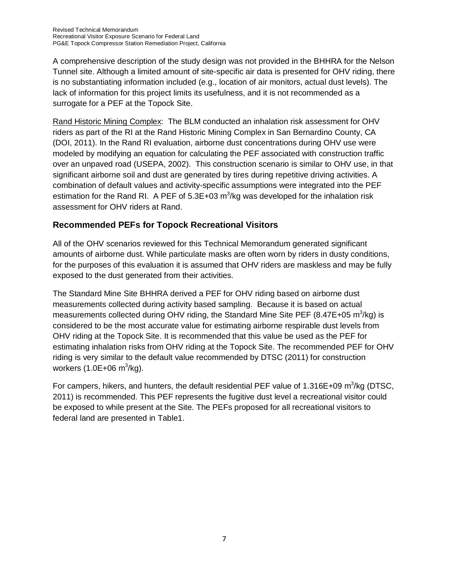A comprehensive description of the study design was not provided in the BHHRA for the Nelson Tunnel site. Although a limited amount of site-specific air data is presented for OHV riding, there is no substantiating information included (e.g., location of air monitors, actual dust levels). The lack of information for this project limits its usefulness, and it is not recommended as a surrogate for a PEF at the Topock Site.

Rand Historic Mining Complex: The BLM conducted an inhalation risk assessment for OHV riders as part of the RI at the Rand Historic Mining Complex in San Bernardino County, CA (DOI, 2011). In the Rand RI evaluation, airborne dust concentrations during OHV use were modeled by modifying an equation for calculating the PEF associated with construction traffic over an unpaved road (USEPA, 2002). This construction scenario is similar to OHV use, in that significant airborne soil and dust are generated by tires during repetitive driving activities. A combination of default values and activity-specific assumptions were integrated into the PEF estimation for the Rand RI. A PEF of 5.3E+03 m<sup>3</sup>/kg was developed for the inhalation risk assessment for OHV riders at Rand.

## **Recommended PEFs for Topock Recreational Visitors**

All of the OHV scenarios reviewed for this Technical Memorandum generated significant amounts of airborne dust. While particulate masks are often worn by riders in dusty conditions, for the purposes of this evaluation it is assumed that OHV riders are maskless and may be fully exposed to the dust generated from their activities.

The Standard Mine Site BHHRA derived a PEF for OHV riding based on airborne dust measurements collected during activity based sampling. Because it is based on actual measurements collected during OHV riding, the Standard Mine Site PEF (8.47E+05 m<sup>3</sup>/kg) is considered to be the most accurate value for estimating airborne respirable dust levels from OHV riding at the Topock Site. It is recommended that this value be used as the PEF for estimating inhalation risks from OHV riding at the Topock Site. The recommended PEF for OHV riding is very similar to the default value recommended by DTSC (2011) for construction workers (1.0E+06 m ${}^{3}$ /kg).

For campers, hikers, and hunters, the default residential PEF value of 1.316E+09  $\text{m}^3\text{/kg}$  (DTSC, 2011) is recommended. This PEF represents the fugitive dust level a recreational visitor could be exposed to while present at the Site. The PEFs proposed for all recreational visitors to federal land are presented in Table1.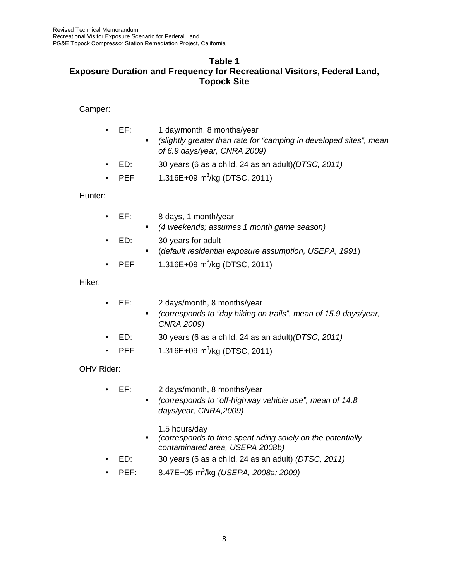#### **Table 1 Exposure Duration and Frequency for Recreational Visitors, Federal Land, Topock Site**

#### Camper:

- EF: 1 day/month, 8 months/year
	- *(slightly greater than rate for "camping in developed sites", mean of 6.9 days/year, CNRA 2009)*
- ED: 30 years (6 as a child, 24 as an adult)*(DTSC, 2011)*
- PEF  $1.316E+09 \text{ m}^3/\text{kg}$  (DTSC, 2011)

### Hunter:

- EF: 8 days, 1 month/year
	- *(4 weekends; assumes 1 month game season)*
- ED: 30 years for adult
	- (*default residential exposure assumption, USEPA, 1991*)
- PEF  $1.316E+09 \text{ m}^3/\text{kg}$  (DTSC, 2011)

#### Hiker:

- EF: 2 days/month, 8 months/year
	- *(corresponds to "day hiking on trails", mean of 15.9 days/year, CNRA 2009)*
- ED: 30 years (6 as a child, 24 as an adult)*(DTSC, 2011)*
- PEF  $1.316E+09 \text{ m}^3/\text{kg}$  (DTSC, 2011)

#### OHV Rider:

- EF: 2 days/month, 8 months/year
	- *(corresponds to "off-highway vehicle use", mean of 14.8 days/year, CNRA,2009)*
		- 1.5 hours/day
	- *(corresponds to time spent riding solely on the potentially contaminated area, USEPA 2008b)*
- ED: 30 years (6 as a child, 24 as an adult) *(DTSC, 2011)*
- PEF: 8.47E+05 m3 /kg *(USEPA, 2008a; 2009)*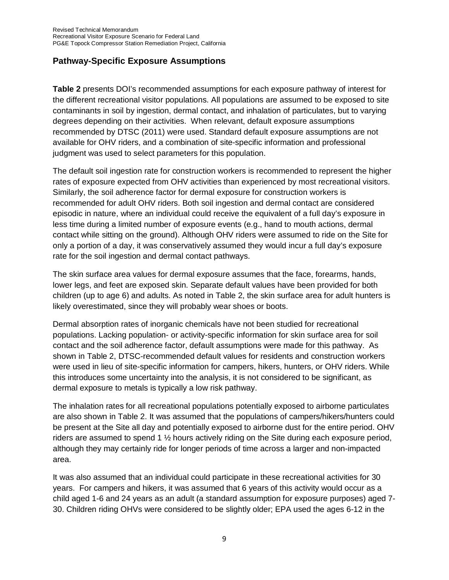### **Pathway-Specific Exposure Assumptions**

**Table 2** presents DOI's recommended assumptions for each exposure pathway of interest for the different recreational visitor populations. All populations are assumed to be exposed to site contaminants in soil by ingestion, dermal contact, and inhalation of particulates, but to varying degrees depending on their activities. When relevant, default exposure assumptions recommended by DTSC (2011) were used. Standard default exposure assumptions are not available for OHV riders, and a combination of site-specific information and professional judgment was used to select parameters for this population.

The default soil ingestion rate for construction workers is recommended to represent the higher rates of exposure expected from OHV activities than experienced by most recreational visitors. Similarly, the soil adherence factor for dermal exposure for construction workers is recommended for adult OHV riders. Both soil ingestion and dermal contact are considered episodic in nature, where an individual could receive the equivalent of a full day's exposure in less time during a limited number of exposure events (e.g., hand to mouth actions, dermal contact while sitting on the ground). Although OHV riders were assumed to ride on the Site for only a portion of a day, it was conservatively assumed they would incur a full day's exposure rate for the soil ingestion and dermal contact pathways.

The skin surface area values for dermal exposure assumes that the face, forearms, hands, lower legs, and feet are exposed skin. Separate default values have been provided for both children (up to age 6) and adults. As noted in Table 2, the skin surface area for adult hunters is likely overestimated, since they will probably wear shoes or boots.

Dermal absorption rates of inorganic chemicals have not been studied for recreational populations. Lacking population- or activity-specific information for skin surface area for soil contact and the soil adherence factor, default assumptions were made for this pathway. As shown in Table 2, DTSC-recommended default values for residents and construction workers were used in lieu of site-specific information for campers, hikers, hunters, or OHV riders. While this introduces some uncertainty into the analysis, it is not considered to be significant, as dermal exposure to metals is typically a low risk pathway.

The inhalation rates for all recreational populations potentially exposed to airborne particulates are also shown in Table 2. It was assumed that the populations of campers/hikers/hunters could be present at the Site all day and potentially exposed to airborne dust for the entire period. OHV riders are assumed to spend 1 ½ hours actively riding on the Site during each exposure period, although they may certainly ride for longer periods of time across a larger and non-impacted area.

It was also assumed that an individual could participate in these recreational activities for 30 years. For campers and hikers, it was assumed that 6 years of this activity would occur as a child aged 1-6 and 24 years as an adult (a standard assumption for exposure purposes) aged 7- 30. Children riding OHVs were considered to be slightly older; EPA used the ages 6-12 in the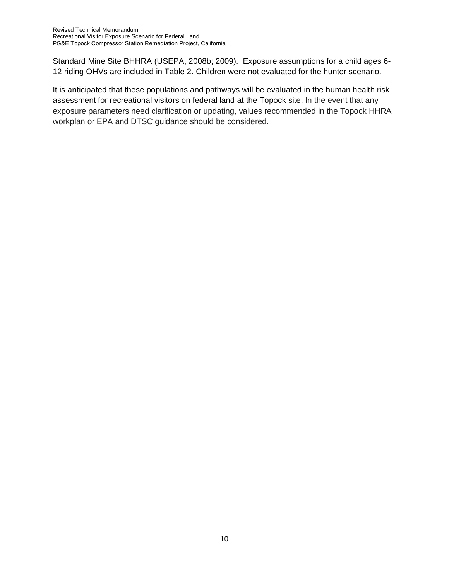Standard Mine Site BHHRA (USEPA, 2008b; 2009). Exposure assumptions for a child ages 6- 12 riding OHVs are included in Table 2. Children were not evaluated for the hunter scenario.

It is anticipated that these populations and pathways will be evaluated in the human health risk assessment for recreational visitors on federal land at the Topock site. In the event that any exposure parameters need clarification or updating, values recommended in the Topock HHRA workplan or EPA and DTSC guidance should be considered.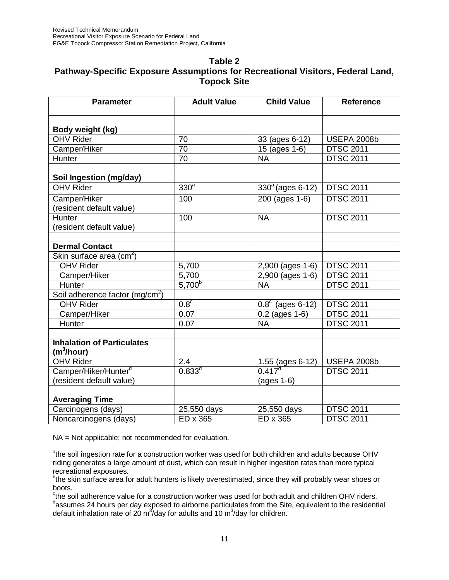#### **Table 2 Pathway-Specific Exposure Assumptions for Recreational Visitors, Federal Land, Topock Site**

| <b>Parameter</b>                                            | <b>Adult Value</b> | <b>Child Value</b>        | <b>Reference</b>   |
|-------------------------------------------------------------|--------------------|---------------------------|--------------------|
|                                                             |                    |                           |                    |
| Body weight (kg)                                            |                    |                           |                    |
| <b>OHV Rider</b>                                            | 70                 | 33 (ages 6-12)            | <b>USEPA 2008b</b> |
| Camper/Hiker                                                | 70                 | 15 (ages 1-6)             | <b>DTSC 2011</b>   |
| Hunter                                                      | $\overline{70}$    | <b>NA</b>                 | <b>DTSC 2011</b>   |
|                                                             |                    |                           |                    |
| Soil Ingestion (mg/day)                                     |                    |                           |                    |
| <b>OHV Rider</b>                                            | 330 <sup>a</sup>   | $330^{\circ}$ (ages 6-12) | <b>DTSC 2011</b>   |
| Camper/Hiker<br>(resident default value)                    | 100                | 200 (ages 1-6)            | <b>DTSC 2011</b>   |
| Hunter<br>(resident default value)                          | 100                | <b>NA</b>                 | <b>DTSC 2011</b>   |
|                                                             |                    |                           |                    |
| <b>Dermal Contact</b>                                       |                    |                           |                    |
| Skin surface area $\overline{(cm^2)}$                       |                    |                           |                    |
| <b>OHV Rider</b>                                            | 5,700              | 2,900 (ages 1-6)          | <b>DTSC 2011</b>   |
| Camper/Hiker                                                | 5,700              | $2,900$ (ages 1-6)        | <b>DTSC 2011</b>   |
| Hunter                                                      | $5,700^{b}$        | <b>NA</b>                 | <b>DTSC 2011</b>   |
| Soil adherence factor (mg/cm <sup>2</sup> )                 |                    |                           |                    |
| <b>OHV Rider</b>                                            | 0.8 <sup>c</sup>   | $0.8^{\circ}$ (ages 6-12) | <b>DTSC 2011</b>   |
| Camper/Hiker                                                | $\overline{0.07}$  | $0.2$ (ages 1-6)          | <b>DTSC 2011</b>   |
| Hunter                                                      | 0.07               | <b>NA</b>                 | <b>DTSC 2011</b>   |
|                                                             |                    |                           |                    |
| <b>Inhalation of Particulates</b><br>(m <sup>3</sup> /hour) |                    |                           |                    |
| <b>OHV Rider</b>                                            | $\overline{2.4}$   | $\frac{1.55}{0.417^d}$    | <b>USEPA 2008b</b> |
| Camper/Hiker/Hunter <sup>d</sup>                            | $0.833^{d}$        |                           | <b>DTSC 2011</b>   |
| (resident default value)                                    |                    | $(ages 1-6)$              |                    |
|                                                             |                    |                           |                    |
| <b>Averaging Time</b>                                       |                    |                           |                    |
| Carcinogens (days)                                          | 25,550 days        | 25,550 days               | <b>DTSC 2011</b>   |
| Noncarcinogens (days)                                       | ED x 365           | ED x 365                  | <b>DTSC 2011</b>   |

NA = Not applicable; not recommended for evaluation.

<sup>a</sup>the soil ingestion rate for a construction worker was used for both children and adults because OHV riding generates a large amount of dust, which can result in higher ingestion rates than more typical recreational exposures.

<sup>b</sup>the skin surface area for adult hunters is likely overestimated, since they will probably wear shoes or boots.

<sup>c</sup>the soil adherence value for a construction worker was used for both adult and children OHV riders. dassumes 24 hours per day exposed to airborne particulates from the Site, equivalent to the residential default inhalation rate of 20 m<sup>3</sup>/day for adults and 10 m<sup>3</sup>/day for children.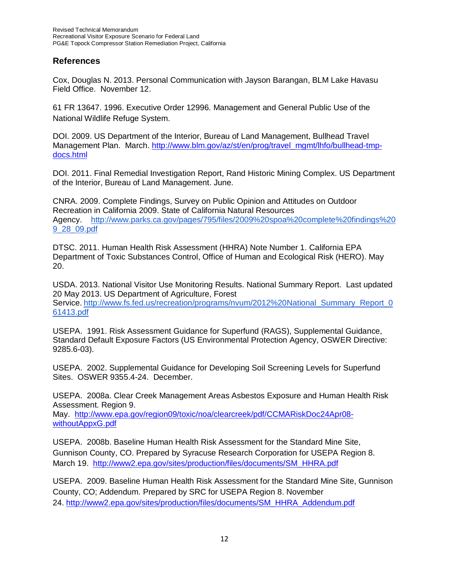#### **References**

Cox, Douglas N. 2013. Personal Communication with Jayson Barangan, BLM Lake Havasu Field Office. November 12.

61 FR 13647. 1996. Executive Order 12996. Management and General Public Use of the National Wildlife Refuge System.

DOI. 2009. US Department of the Interior, Bureau of Land Management, Bullhead Travel Management Plan. March. [http://www.blm.gov/az/st/en/prog/travel\\_mgmt/lhfo/bullhead-tmp](http://www.blm.gov/az/st/en/prog/travel_mgmt/lhfo/bullhead-tmp-docs.html)[docs.html](http://www.blm.gov/az/st/en/prog/travel_mgmt/lhfo/bullhead-tmp-docs.html)

DOI. 2011. Final Remedial Investigation Report, Rand Historic Mining Complex. US Department of the Interior, Bureau of Land Management. June.

CNRA. 2009. Complete Findings, Survey on Public Opinion and Attitudes on Outdoor Recreation in California 2009. State of California Natural Resources Agency. [http://www.parks.ca.gov/pages/795/files/2009%20spoa%20complete%20findings%20](http://www.parks.ca.gov/pages/795/files/2009%20spoa%20complete%20findings%209_28_09.pdf) [9\\_28\\_09.pdf](http://www.parks.ca.gov/pages/795/files/2009%20spoa%20complete%20findings%209_28_09.pdf)

DTSC. 2011. Human Health Risk Assessment (HHRA) Note Number 1. California EPA Department of Toxic Substances Control, Office of Human and Ecological Risk (HERO). May 20.

USDA. 2013. National Visitor Use Monitoring Results. National Summary Report. Last updated 20 May 2013. US Department of Agriculture, Forest Service. [http://www.fs.fed.us/recreation/programs/nvum/2012%20National\\_Summary\\_Report\\_0](http://www.fs.fed.us/recreation/programs/nvum/2012%20National_Summary_Report_061413.pdf) [61413.pdf](http://www.fs.fed.us/recreation/programs/nvum/2012%20National_Summary_Report_061413.pdf)

USEPA. 1991. Risk Assessment Guidance for Superfund (RAGS), Supplemental Guidance, Standard Default Exposure Factors (US Environmental Protection Agency, OSWER Directive: 9285.6-03).

USEPA. 2002. Supplemental Guidance for Developing Soil Screening Levels for Superfund Sites. OSWER 9355.4-24. December.

USEPA. 2008a. Clear Creek Management Areas Asbestos Exposure and Human Health Risk Assessment. Region 9.

May. [http://www.epa.gov/region09/toxic/noa/clearcreek/pdf/CCMARiskDoc24Apr08](http://www.epa.gov/region09/toxic/noa/clearcreek/pdf/CCMARiskDoc24Apr08-withoutAppxG.pdf) [withoutAppxG.pdf](http://www.epa.gov/region09/toxic/noa/clearcreek/pdf/CCMARiskDoc24Apr08-withoutAppxG.pdf)

USEPA. 2008b. Baseline Human Health Risk Assessment for the Standard Mine Site, Gunnison County, CO. Prepared by Syracuse Research Corporation for USEPA Region 8. March 19. [http://www2.epa.gov/sites/production/files/documents/SM\\_HHRA.pdf](http://www2.epa.gov/sites/production/files/documents/SM_HHRA.pdf)

USEPA. 2009. Baseline Human Health Risk Assessment for the Standard Mine Site, Gunnison County, CO; Addendum. Prepared by SRC for USEPA Region 8. November 24. [http://www2.epa.gov/sites/production/files/documents/SM\\_HHRA\\_Addendum.pdf](http://www2.epa.gov/sites/production/files/documents/SM_HHRA_Addendum.pdf)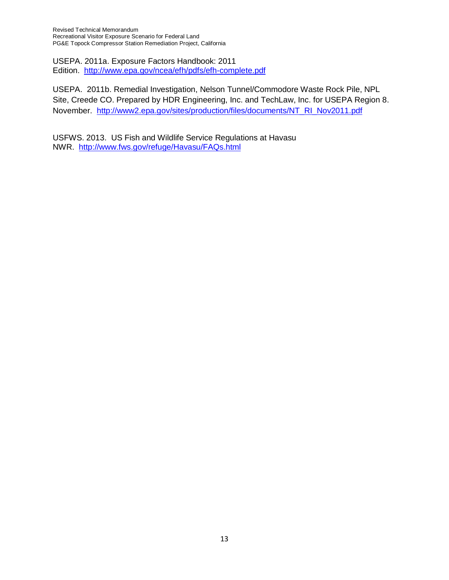Revised Technical Memorandum Recreational Visitor Exposure Scenario for Federal Land PG&E Topock Compressor Station Remediation Project, California

USEPA. 2011a. Exposure Factors Handbook: 2011 Edition. <http://www.epa.gov/ncea/efh/pdfs/efh-complete.pdf>

USEPA. 2011b. Remedial Investigation, Nelson Tunnel/Commodore Waste Rock Pile, NPL Site, Creede CO. Prepared by HDR Engineering, Inc. and TechLaw, Inc. for USEPA Region 8. November. [http://www2.epa.gov/sites/production/files/documents/NT\\_RI\\_Nov2011.pdf](http://www2.epa.gov/sites/production/files/documents/NT_RI_Nov2011.pdf)

USFWS. 2013. US Fish and Wildlife Service Regulations at Havasu NWR. <http://www.fws.gov/refuge/Havasu/FAQs.html>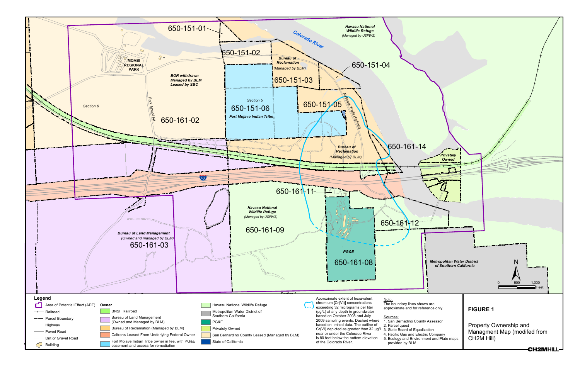